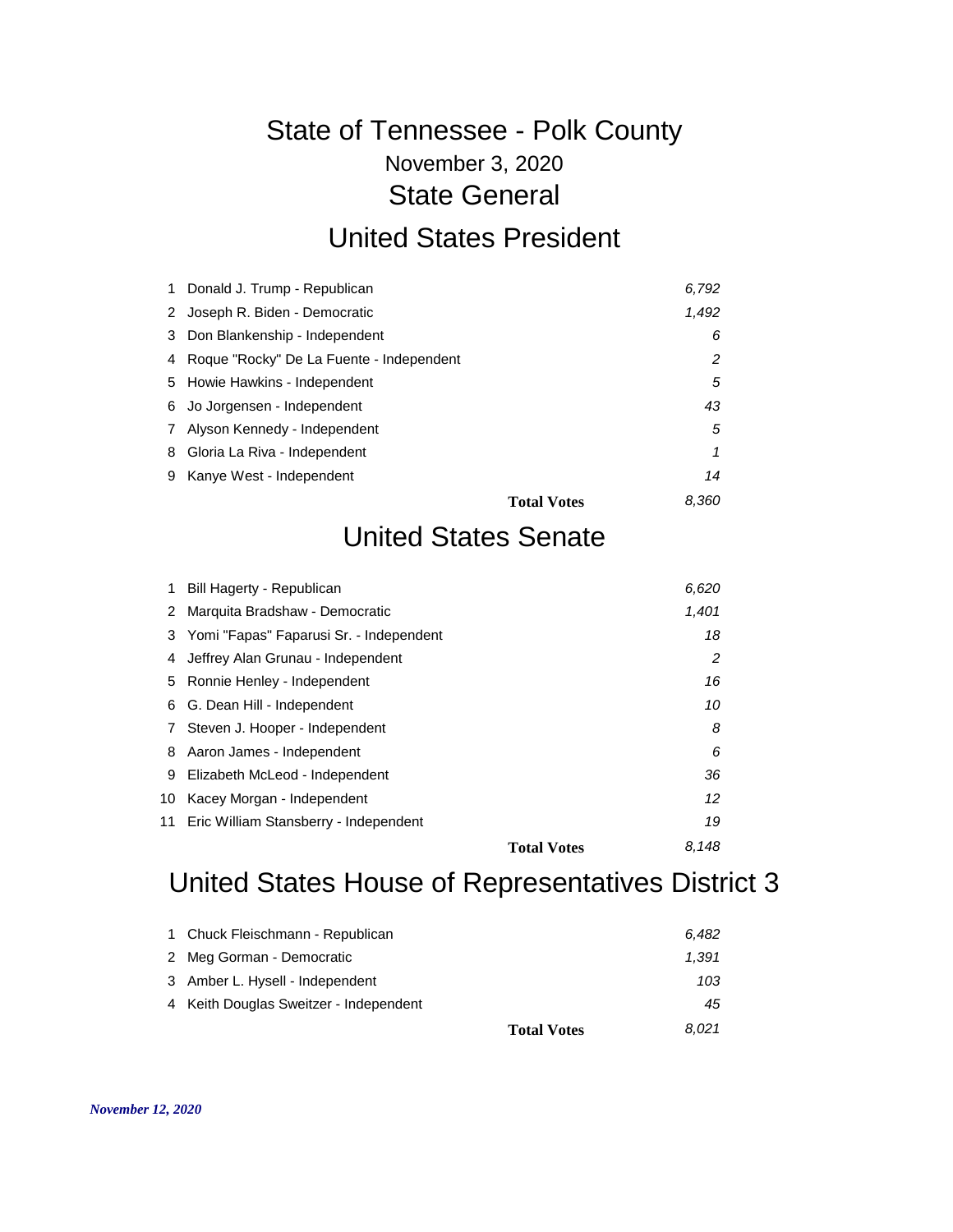# November 3, 2020 State of Tennessee - Polk County State General

#### United States President

|              | 1 Donald J. Trump - Republican             | 6,792                       |    |
|--------------|--------------------------------------------|-----------------------------|----|
|              | 2 Joseph R. Biden - Democratic             | 1,492                       |    |
|              | 3 Don Blankenship - Independent            |                             | 6  |
|              | 4 Roque "Rocky" De La Fuente - Independent |                             | 2  |
|              | 5 Howie Hawkins - Independent              |                             | 5  |
|              | 6 Jo Jorgensen - Independent               |                             | 43 |
| $\mathbf{7}$ | Alyson Kennedy - Independent               |                             | 5  |
|              | 8 Gloria La Riva - Independent             |                             | 1  |
|              | 9 Kanye West - Independent                 |                             | 14 |
|              |                                            | 8.360<br><b>Total Votes</b> |    |

#### United States Senate

|    | Bill Hagerty - Republican                 | 6.620                       |    |
|----|-------------------------------------------|-----------------------------|----|
| 2  | Marquita Bradshaw - Democratic            | 1,401                       |    |
|    | 3 Yomi "Fapas" Faparusi Sr. - Independent |                             | 18 |
| 4  | Jeffrey Alan Grunau - Independent         |                             | 2  |
|    | 5 Ronnie Henley - Independent             | 16                          |    |
| 6  | G. Dean Hill - Independent                | 10                          |    |
| 7  | Steven J. Hooper - Independent            |                             | 8  |
| 8  | Aaron James - Independent                 |                             | 6  |
| 9  | Elizabeth McLeod - Independent            | 36                          |    |
| 10 | Kacey Morgan - Independent                | 12                          |    |
|    | 11 Eric William Stansberry - Independent  | 19                          |    |
|    |                                           | 8.148<br><b>Total Votes</b> |    |

## United States House of Representatives District 3

| 1 Chuck Fleischmann - Republican       | 6.482                       |
|----------------------------------------|-----------------------------|
| 2 Meg Gorman - Democratic              | 1.391                       |
| 3 Amber L. Hysell - Independent        | 103                         |
| 4 Keith Douglas Sweitzer - Independent | 45                          |
|                                        | 8.021<br><b>Total Votes</b> |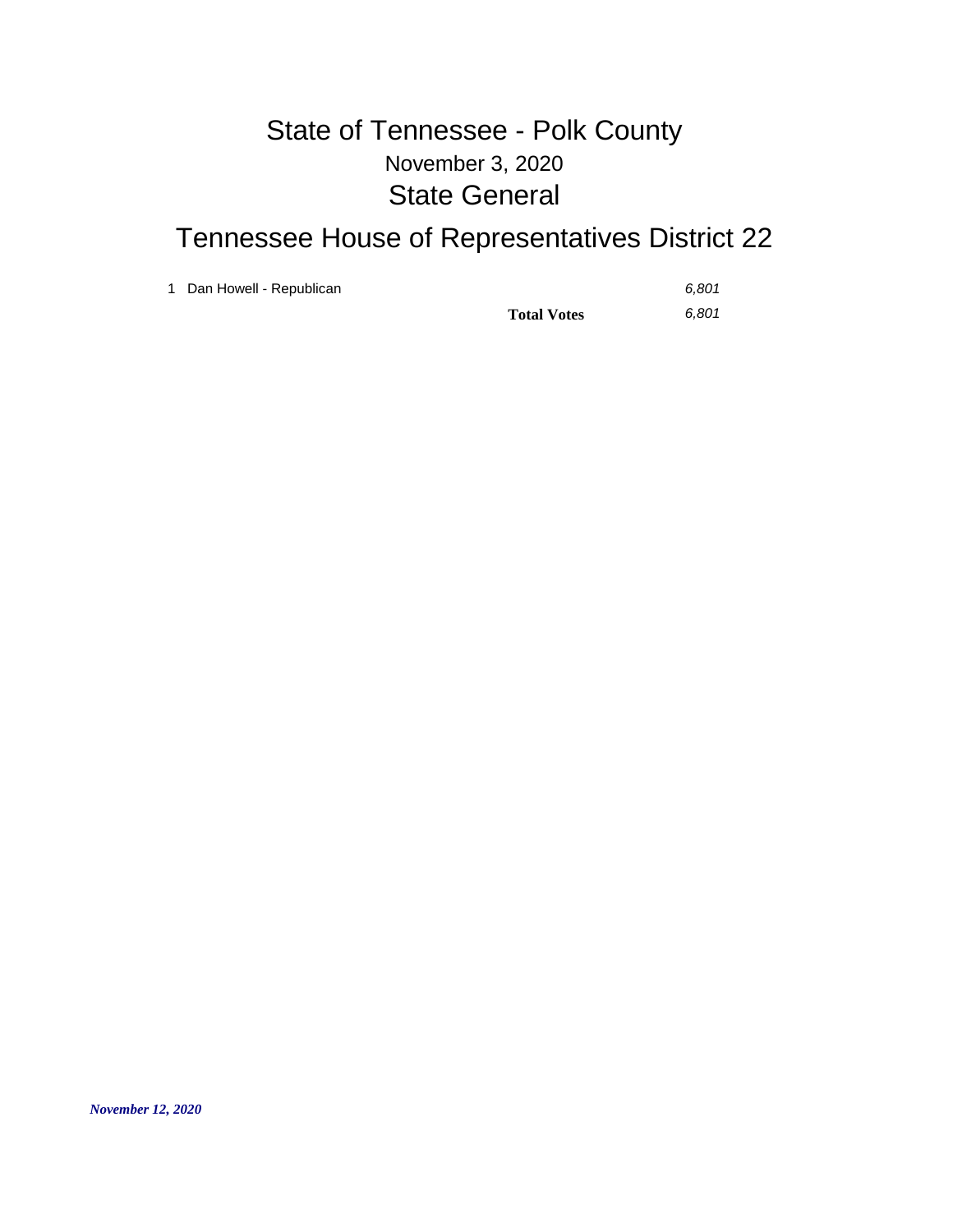#### November 3, 2020 State of Tennessee - Polk County State General

## Tennessee House of Representatives District 22

1 Dan Howell - Republican *6,801*

**Total Votes** *6,801*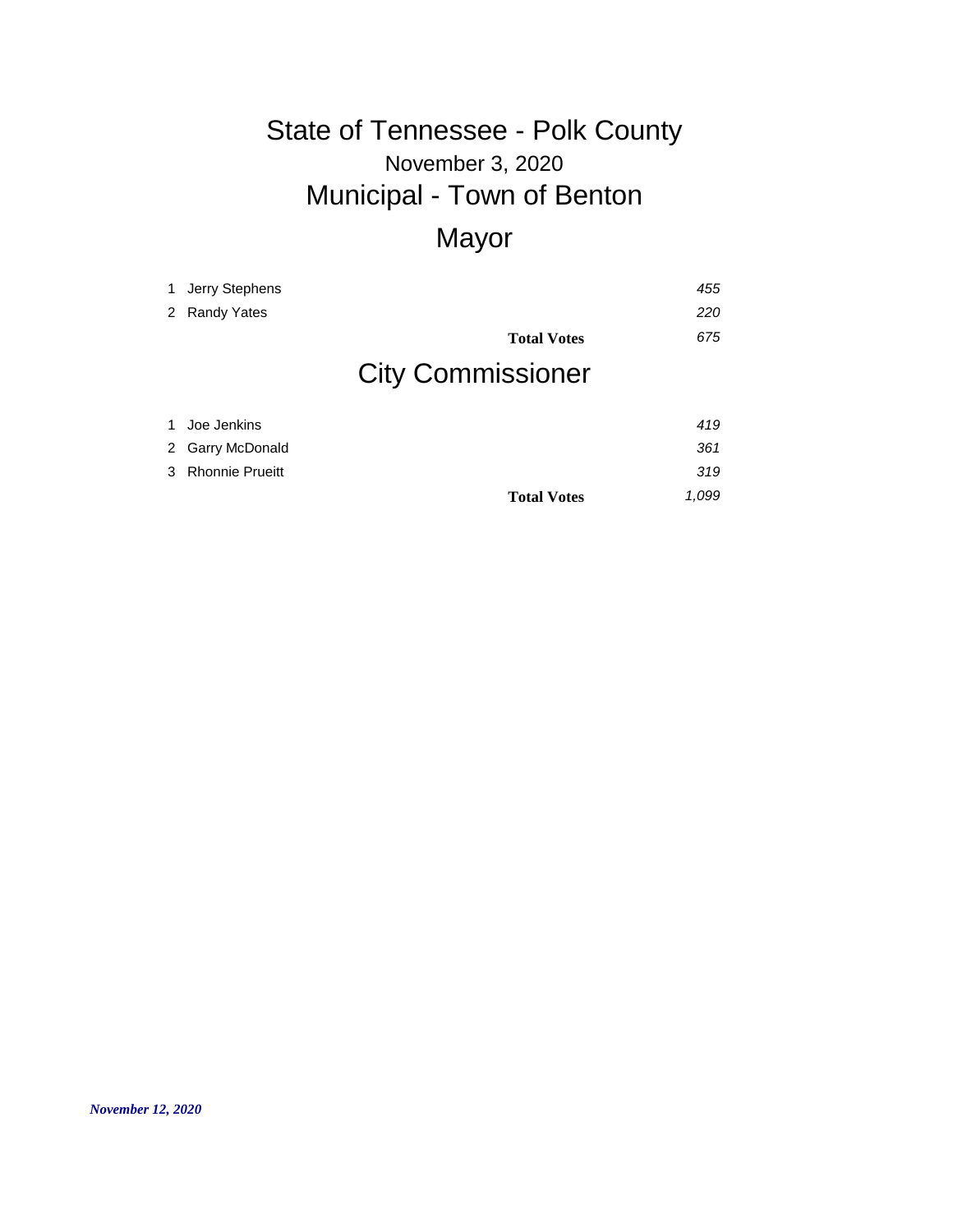# November 3, 2020 State of Tennessee - Polk County Municipal - Town of Benton

## Mayor

**Total Votes** *1,099*

| $\mathbf{1}$ | Jerry Stephens        |                          | 455 |
|--------------|-----------------------|--------------------------|-----|
|              |                       |                          |     |
| 2            | <b>Randy Yates</b>    |                          | 220 |
|              |                       | <b>Total Votes</b>       | 675 |
|              |                       | <b>City Commissioner</b> |     |
| $\mathbf{1}$ | Joe Jenkins           |                          | 419 |
| 2            | <b>Garry McDonald</b> |                          | 361 |
|              | 3 Rhonnie Prueitt     |                          | 319 |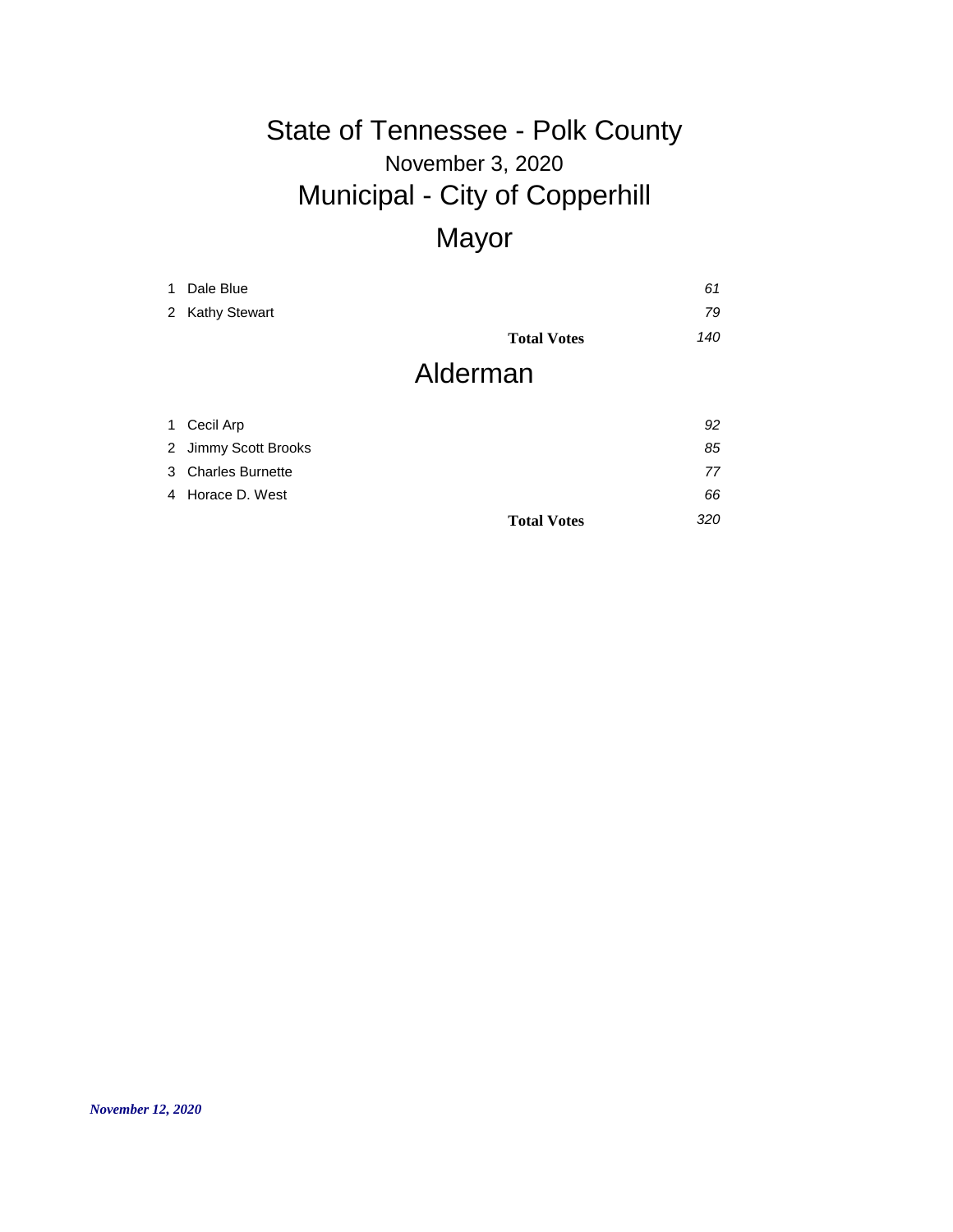#### November 3, 2020 State of Tennessee - Polk County Municipal - City of Copperhill **Mayor**

| <u>iviayui</u> |  |  |
|----------------|--|--|
|                |  |  |
|                |  |  |

| 1 | Dale Blue            |                    | 61  |
|---|----------------------|--------------------|-----|
|   | 2 Kathy Stewart      |                    | 79  |
|   |                      | <b>Total Votes</b> | 140 |
|   |                      | Alderman           |     |
|   | 1 Cecil Arp          |                    | 92  |
|   | 2 Jimmy Scott Brooks |                    | 85  |

|                    | <b>Total Votes</b> | 320 |
|--------------------|--------------------|-----|
| 4 Horace D. West   |                    | 66  |
| 3 Charles Burnette |                    |     |
|                    |                    |     |